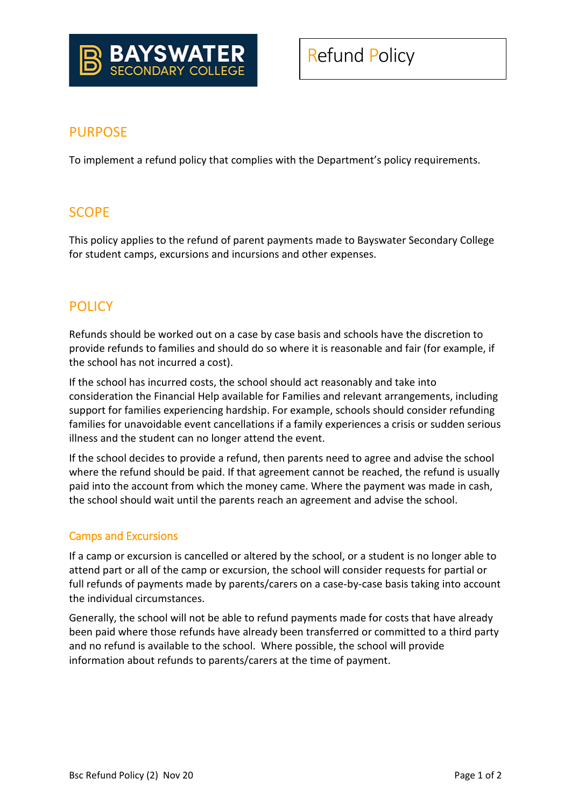

### PURPOSE

To implement a refund policy that complies with the Department's policy requirements.

# **SCOPE**

This policy applies to the refund of parent payments made to Bayswater Secondary College for student camps, excursions and incursions and other expenses.

## **POLICY**

Refunds should be worked out on a case by case basis and schools have the discretion to provide refunds to families and should do so where it is reasonable and fair (for example, if the school has not incurred a cost).

If the school has incurred costs, the school should act reasonably and take into consideration the Financial Help available for Families and relevant arrangements, including support for families experiencing hardship. For example, schools should consider refunding families for unavoidable event cancellations if a family experiences a crisis or sudden serious illness and the student can no longer attend the event.

If the school decides to provide a refund, then parents need to agree and advise the school where the refund should be paid. If that agreement cannot be reached, the refund is usually paid into the account from which the money came. Where the payment was made in cash, the school should wait until the parents reach an agreement and advise the school.

#### Camps and Excursions

If a camp or excursion is cancelled or altered by the school, or a student is no longer able to attend part or all of the camp or excursion, the school will consider requests for partial or full refunds of payments made by parents/carers on a case-by-case basis taking into account the individual circumstances.

Generally, the school will not be able to refund payments made for costs that have already been paid where those refunds have already been transferred or committed to a third party and no refund is available to the school. Where possible, the school will provide information about refunds to parents/carers at the time of payment.